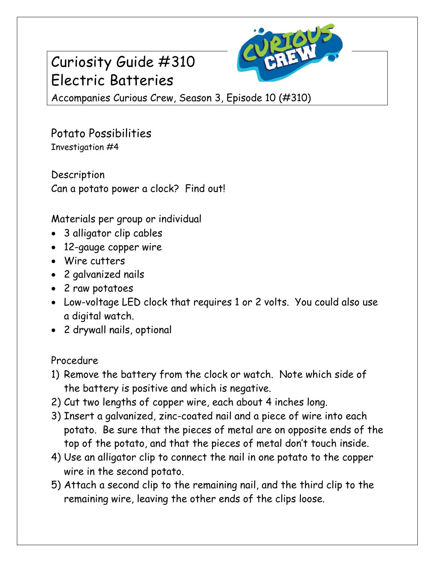## Curiosity Guide #310 Electric Batteries



Accompanies Curious Crew, Season 3, Episode 10 (#310)

Potato Possibilities Investigation #4

Description Can a potato power a clock? Find out!

Materials per group or individual

- 3 alligator clip cables
- 12-gauge copper wire
- Wire cutters
- 2 galvanized nails
- 2 raw potatoes
- Low-voltage LED clock that requires 1 or 2 volts. You could also use a digital watch.
- 2 drywall nails, optional

Procedure

- 1) Remove the battery from the clock or watch. Note which side of the battery is positive and which is negative.
- 2) Cut two lengths of copper wire, each about 4 inches long.
- 3) Insert a galvanized, zinc-coated nail and a piece of wire into each potato. Be sure that the pieces of metal are on opposite ends of the top of the potato, and that the pieces of metal don't touch inside.
- 4) Use an alligator clip to connect the nail in one potato to the copper wire in the second potato.
- 5) Attach a second clip to the remaining nail, and the third clip to the remaining wire, leaving the other ends of the clips loose.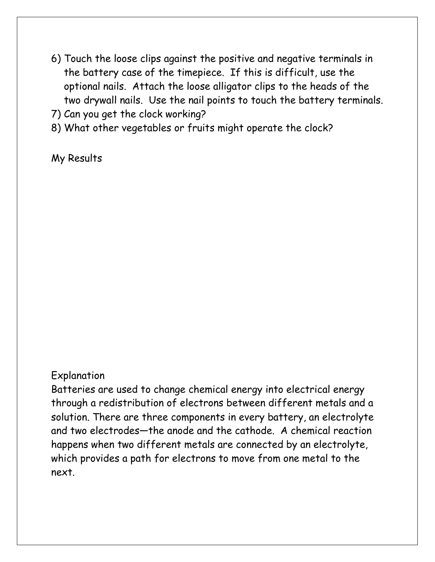- 6) Touch the loose clips against the positive and negative terminals in the battery case of the timepiece. If this is difficult, use the optional nails. Attach the loose alligator clips to the heads of the two drywall nails. Use the nail points to touch the battery terminals.
- 7) Can you get the clock working?
- 8) What other vegetables or fruits might operate the clock?

My Results

## Explanation

Batteries are used to change chemical energy into electrical energy through a redistribution of electrons between different metals and a solution. There are three components in every battery, an electrolyte and two electrodes—the anode and the cathode. A chemical reaction happens when two different metals are connected by an electrolyte, which provides a path for electrons to move from one metal to the next.